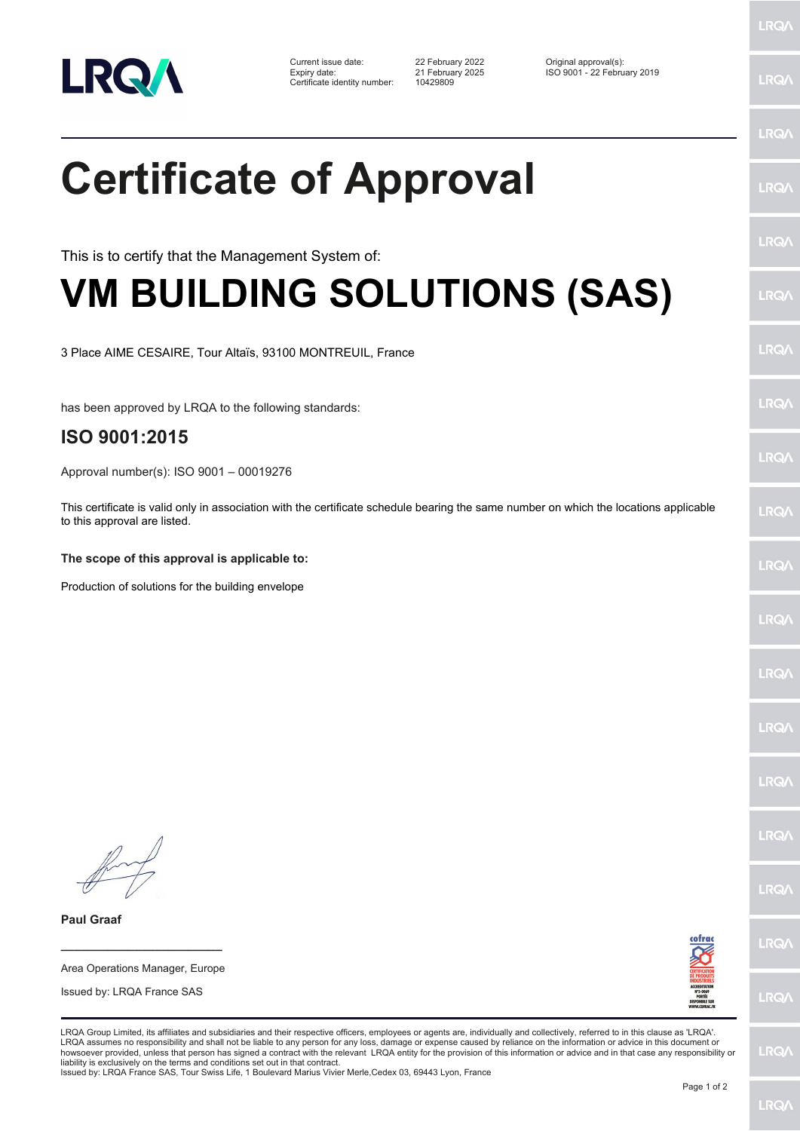

Current issue date: 22 February 2022 Original approval(s): Expiry date: 21 February 2025 ISO 9001 - 22 February 2019 Expiry date: 21 February 2025<br>Certificate identity number: 10429809

LRQ/

LRQ/

## LRQ/ **Certificate of Approval** LRQ/ LRQ/ This is to certify that the Management System of: **VM BUILDING SOLUTIONS (SAS)** LRQ/ LRQ/ 3 Place AIME CESAIRE, Tour Altaïs, 93100 MONTREUIL, France LRQ/ has been approved by LRQA to the following standards: **ISO 9001:2015 LRQA** Approval number(s): ISO 9001 – 00019276 This certificate is valid only in association with the certificate schedule bearing the same number on which the locations applicable LRQ/ to this approval are listed. **The scope of this approval is applicable to:** LRQ/ Production of solutions for the building envelopeLRQ/ LRQ/ LRQ/ LRQ/ **IRQA** LRQ/ **Paul Graaf** LRQ/ **\_\_\_\_\_\_\_\_\_\_\_\_\_\_\_\_\_\_\_\_\_\_\_\_** Area Operations Manager, Europe Issued by: LRQA France SAS LRQ/ LRQA Group Limited, its affiliates and subsidiaries and their respective officers, employees or agents are, individually and collectively, referred to in this clause as 'LRQA'. LRQA assumes no responsibility and shall not be liable to any person for any loss, damage or expense caused by reliance on the information or advice in this document or<br>howsoever provided, unless that person has signed a c LRQ/ liability is exclusively on the terms and conditions set out in that contract. Issued by: LRQA France SAS, Tour Swiss Life, 1 Boulevard Marius Vivier Merle,Cedex 03, 69443 Lyon, France Page 1 of 2